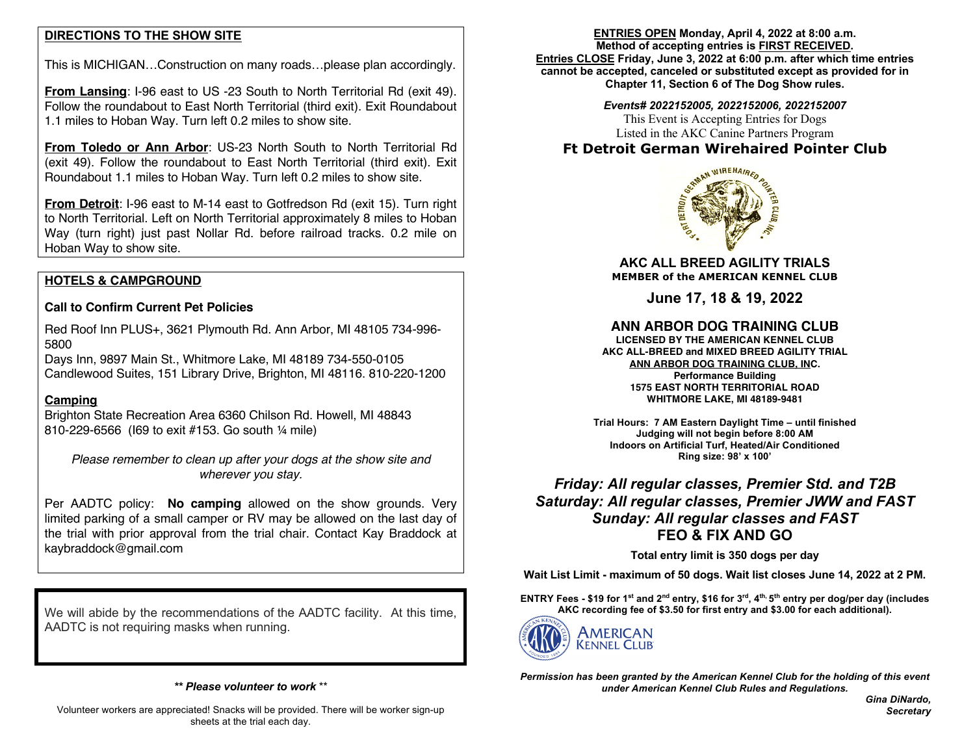## **DIRECTIONS TO THE SHOW SITE**

This is MICHIGAN…Construction on many roads…please plan accordingly.

**From Lansing**: I-96 east to US -23 South to North Territorial Rd (exit 49). Follow the roundabout to East North Territorial (third exit). Exit Roundabout 1.1 miles to Hoban Way. Turn left 0.2 miles to show site.

**From Toledo or Ann Arbor**: US-23 North South to North Territorial Rd (exit 49). Follow the roundabout to East North Territorial (third exit). Exit Roundabout 1.1 miles to Hoban Way. Turn left 0.2 miles to show site.

**From Detroit**: I-96 east to M-14 east to Gotfredson Rd (exit 15). Turn right to North Territorial. Left on North Territorial approximately 8 miles to Hoban Way (turn right) just past Nollar Rd. before railroad tracks. 0.2 mile on Hoban Way to show site.

## **HOTELS & CAMPGROUND**

### **Call to Confirm Current Pet Policies**

Red Roof Inn PLUS+, 3621 Plymouth Rd. Ann Arbor, MI 48105 734-996- 5800

Days Inn, 9897 Main St., Whitmore Lake, MI 48189 734-550-0105 Candlewood Suites, 151 Library Drive, Brighton, MI 48116. 810-220-1200

### **Camping**

Brighton State Recreation Area 6360 Chilson Rd. Howell, MI 48843 810-229-6566 (I69 to exit #153. Go south ¼ mile)

*Please remember to clean up after your dogs at the show site and wherever you stay.*

Per AADTC policy: **No camping** allowed on the show grounds. Very limited parking of a small camper or RV may be allowed on the last day of the trial with prior approval from the trial chair. Contact Kay Braddock at kaybraddock@gmail.com

We will abide by the recommendations of the AADTC facility. At this time, AADTC is not requiring masks when running.

*\*\* Please volunteer to work* \*\*

#### **ENTRIES OPEN Monday, April 4, 2022 at 8:00 a.m. Method of accepting entries is FIRST RECEIVED.**

**Entries CLOSE Friday, June 3, 2022 at 6:00 p.m. after which time entries cannot be accepted, canceled or substituted except as provided for in Chapter 11, Section 6 of The Dog Show rules.**

#### *Events# 2022152005, 2022152006, 2022152007*

This Event is Accepting Entries for Dogs Listed in the AKC Canine Partners Program

# **Ft Detroit German Wirehaired Pointer Club**



**AKC ALL BREED AGILITY TRIALS MEMBER of the AMERICAN KENNEL CLUB**

**June 17, 18 & 19, 2022**

## **ANN ARBOR DOG TRAINING CLUB**

**LICENSED BY THE AMERICAN KENNEL CLUB AKC ALL-BREED and MIXED BREED AGILITY TRIAL ANN ARBOR DOG TRAINING CLUB, INC. Performance Building 1575 EAST NORTH TERRITORIAL ROAD WHITMORE LAKE, MI 48189-9481**

**Trial Hours: 7 AM Eastern Daylight Time – until finished Judging will not begin before 8:00 AM Indoors on Artificial Turf, Heated/Air Conditioned Ring size: 98' x 100'**

# *Friday: All regular classes, Premier Std. and T2B Saturday: All regular classes, Premier JWW and FAST Sunday: All regular classes and FAST* **FEO & FIX AND GO**

**Total entry limit is 350 dogs per day**

**Wait List Limit - maximum of 50 dogs. Wait list closes June 14, 2022 at 2 PM.**

**ENTRY Fees - \$19 for 1st and 2nd entry, \$16 for 3rd, 4th, 5th entry per dog/per day (includes AKC recording fee of \$3.50 for first entry and \$3.00 for each additional).** 



*Permission has been granted by the American Kennel Club for the holding of this event under American Kennel Club Rules and Regulations.*

> *Gina DiNardo, Secretary*

Volunteer workers are appreciated! Snacks will be provided. There will be worker sign-up sheets at the trial each day.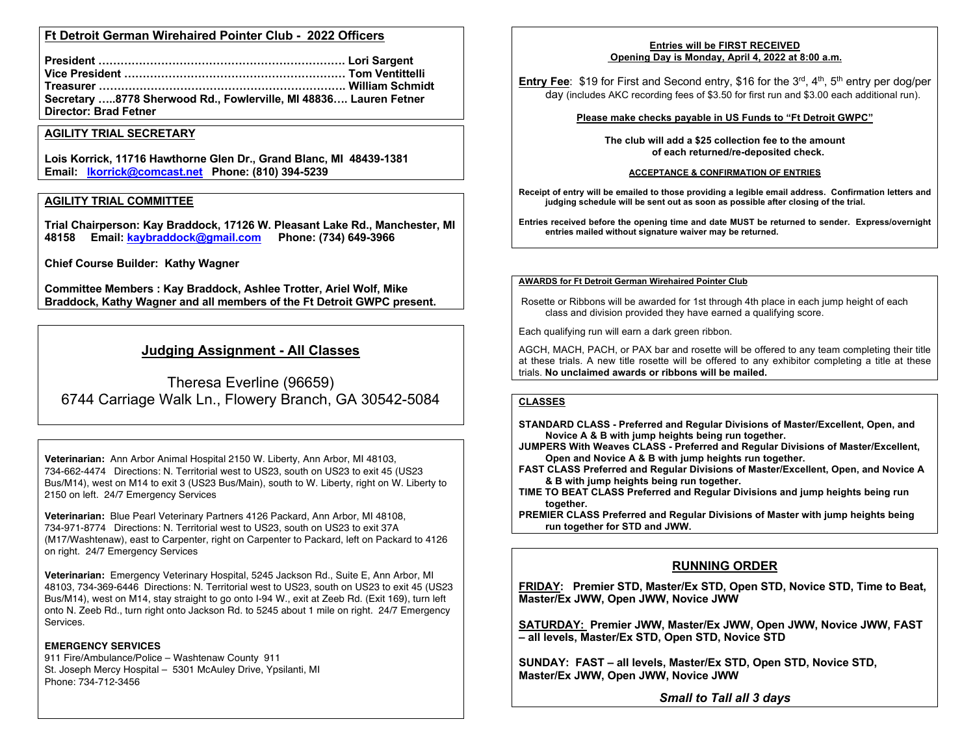### **Ft Detroit German Wirehaired Pointer Club - 2022 Officers**

| Secretary 8778 Sherwood Rd., Fowlerville, MI 48836 Lauren Fetner |  |
|------------------------------------------------------------------|--|
| <b>Director: Brad Fetner</b>                                     |  |

#### **AGILITY TRIAL SECRETARY**

**Lois Korrick, 11716 Hawthorne Glen Dr., Grand Blanc, MI 48439-1381 Email: lkorrick@comcast.net Phone: (810) 394-5239**

#### **AGILITY TRIAL COMMITTEE**

**Trial Chairperson: Kay Braddock, 17126 W. Pleasant Lake Rd., Manchester, MI 48158 Email: kaybraddock@gmail.com Phone: (734) 649-3966**

**Chief Course Builder: Kathy Wagner**

**Committee Members : Kay Braddock, Ashlee Trotter, Ariel Wolf, Mike Braddock, Kathy Wagner and all members of the Ft Detroit GWPC present.**

# **Judging Assignment - All Classes**

Theresa Everline (96659) 6744 Carriage Walk Ln., Flowery Branch, GA 30542-5084

**Veterinarian:** Ann Arbor Animal Hospital 2150 W. Liberty, Ann Arbor, MI 48103, 734-662-4474 Directions: N. Territorial west to US23, south on US23 to exit 45 (US23 Bus/M14), west on M14 to exit 3 (US23 Bus/Main), south to W. Liberty, right on W. Liberty to 2150 on left. 24/7 Emergency Services

**Veterinarian:** Blue Pearl Veterinary Partners 4126 Packard, Ann Arbor, MI 48108, 734-971-8774 Directions: N. Territorial west to US23, south on US23 to exit 37A (M17/Washtenaw), east to Carpenter, right on Carpenter to Packard, left on Packard to 4126 on right. 24/7 Emergency Services

**Veterinarian:** Emergency Veterinary Hospital, 5245 Jackson Rd., Suite E, Ann Arbor, MI 48103, 734-369-6446 Directions: N. Territorial west to US23, south on US23 to exit 45 (US23 Bus/M14), west on M14, stay straight to go onto I-94 W., exit at Zeeb Rd. (Exit 169), turn left onto N. Zeeb Rd., turn right onto Jackson Rd. to 5245 about 1 mile on right. 24/7 Emergency Services.

#### **EMERGENCY SERVICES**

911 Fire/Ambulance/Police – Washtenaw County 911 St. Joseph Mercy Hospital – 5301 McAuley Drive, Ypsilanti, MI Phone: 734-712-3456

#### **Entries will be FIRST RECEIVED Opening Day is Monday, April 4, 2022 at 8:00 a.m.**

**Entry Fee**: \$19 for First and Second entry, \$16 for the 3<sup>rd</sup>, 4<sup>th</sup>, 5<sup>th</sup> entry per dog/per day (includes AKC recording fees of \$3.50 for first run and \$3.00 each additional run).

#### **Please make checks payable in US Funds to "Ft Detroit GWPC"**

**The club will add a \$25 collection fee to the amount of each returned/re-deposited check.**

#### **ACCEPTANCE & CONFIRMATION OF ENTRIES**

**Receipt of entry will be emailed to those providing a legible email address. Confirmation letters and judging schedule will be sent out as soon as possible after closing of the trial.**

**Entries received before the opening time and date MUST be returned to sender. Express/overnight entries mailed without signature waiver may be returned.**

#### **AWARDS for Ft Detroit German Wirehaired Pointer Club**

Rosette or Ribbons will be awarded for 1st through 4th place in each jump height of each class and division provided they have earned a qualifying score.

Each qualifying run will earn a dark green ribbon.

AGCH, MACH, PACH, or PAX bar and rosette will be offered to any team completing their title at these trials. A new title rosette will be offered to any exhibitor completing a title at these trials. **No unclaimed awards or ribbons will be mailed.**

#### **CLASSES**

**STANDARD CLASS - Preferred and Regular Divisions of Master/Excellent, Open, and Novice A & B with jump heights being run together.**

- **JUMPERS With Weaves CLASS - Preferred and Regular Divisions of Master/Excellent, Open and Novice A & B with jump heights run together.**
- **FAST CLASS Preferred and Regular Divisions of Master/Excellent, Open, and Novice A & B with jump heights being run together.**
- **TIME TO BEAT CLASS Preferred and Regular Divisions and jump heights being run together.**
- **PREMIER CLASS Preferred and Regular Divisions of Master with jump heights being run together for STD and JWW.**

## **RUNNING ORDER**

**FRIDAY: Premier STD, Master/Ex STD, Open STD, Novice STD, Time to Beat, Master/Ex JWW, Open JWW, Novice JWW**

**SATURDAY: Premier JWW, Master/Ex JWW, Open JWW, Novice JWW, FAST – all levels, Master/Ex STD, Open STD, Novice STD**

**SUNDAY: FAST – all levels, Master/Ex STD, Open STD, Novice STD, Master/Ex JWW, Open JWW, Novice JWW**

*Small to Tall all 3 days*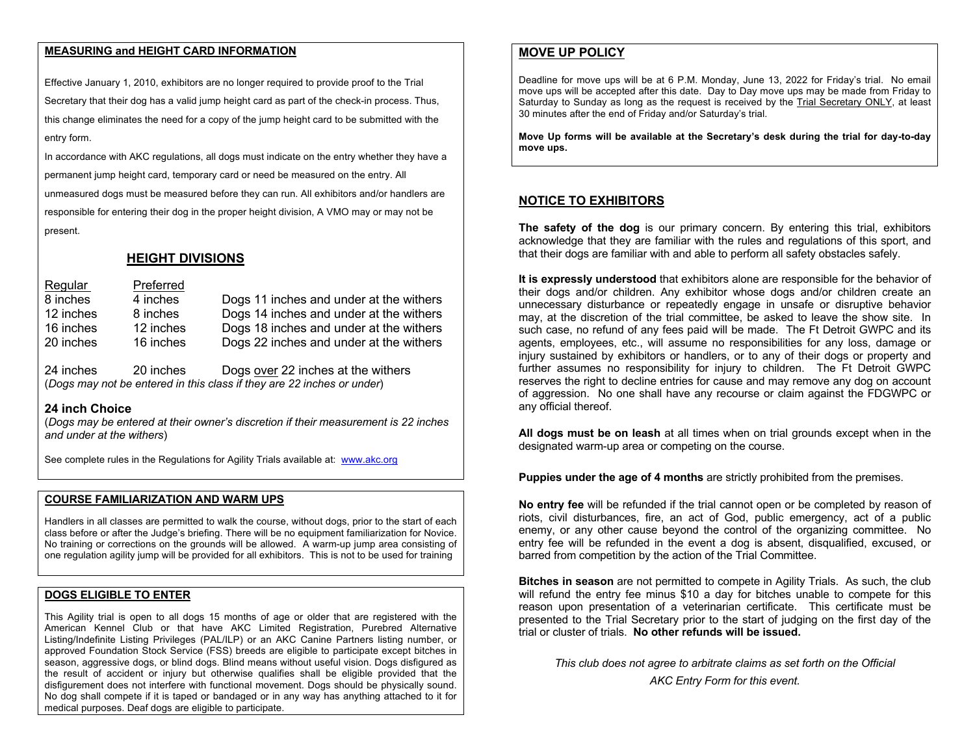## **MEASURING and HEIGHT CARD INFORMATION**

Effective January 1, 2010, exhibitors are no longer required to provide proof to the Trial Secretary that their dog has a valid jump height card as part of the check-in process. Thus, this change eliminates the need for a copy of the jump height card to be submitted with the entry form.

In accordance with AKC regulations, all dogs must indicate on the entry whether they have a permanent jump height card, temporary card or need be measured on the entry. All unmeasured dogs must be measured before they can run. All exhibitors and/or handlers are responsible for entering their dog in the proper height division, A VMO may or may not be present.

## **HEIGHT DIVISIONS**

Regular Preferred 8 inches 4 inches Dogs 11 inches and under at the withers 12 inches 8 inches Dogs 14 inches and under at the withers 16 inches 12 inches Dogs 18 inches and under at the withers 20 inches 16 inches Dogs 22 inches and under at the withers

24 inches 20 inches Dogs over 22 inches at the withers (*Dogs may not be entered in this class if they are 22 inches or under*)

#### **24 inch Choice**

(*Dogs may be entered at their owner's discretion if their measurement is 22 inches and under at the withers*)

See complete rules in the Regulations for Agility Trials available at: www.akc.org

## **COURSE FAMILIARIZATION AND WARM UPS**

Handlers in all classes are permitted to walk the course, without dogs, prior to the start of each class before or after the Judge's briefing. There will be no equipment familiarization for Novice. No training or corrections on the grounds will be allowed. A warm-up jump area consisting of one regulation agility jump will be provided for all exhibitors. This is not to be used for training

## **DOGS ELIGIBLE TO ENTER**

This Agility trial is open to all dogs 15 months of age or older that are registered with the American Kennel Club or that have AKC Limited Registration, Purebred Alternative Listing/Indefinite Listing Privileges (PAL/ILP) or an AKC Canine Partners listing number, or approved Foundation Stock Service (FSS) breeds are eligible to participate except bitches in season, aggressive dogs, or blind dogs. Blind means without useful vision. Dogs disfigured as the result of accident or injury but otherwise qualifies shall be eligible provided that the disfigurement does not interfere with functional movement. Dogs should be physically sound. No dog shall compete if it is taped or bandaged or in any way has anything attached to it for medical purposes. Deaf dogs are eligible to participate.

## **MOVE UP POLICY**

Deadline for move ups will be at 6 P.M. Monday, June 13, 2022 for Friday's trial. No email move ups will be accepted after this date. Day to Day move ups may be made from Friday to Saturday to Sunday as long as the request is received by the Trial Secretary ONLY, at least 30 minutes after the end of Friday and/or Saturday's trial.

**Move Up forms will be available at the Secretary's desk during the trial for day-to-day move ups.**

### **NOTICE TO EXHIBITORS**

**The safety of the dog** is our primary concern. By entering this trial, exhibitors acknowledge that they are familiar with the rules and regulations of this sport, and that their dogs are familiar with and able to perform all safety obstacles safely.

**It is expressly understood** that exhibitors alone are responsible for the behavior of their dogs and/or children. Any exhibitor whose dogs and/or children create an unnecessary disturbance or repeatedly engage in unsafe or disruptive behavior may, at the discretion of the trial committee, be asked to leave the show site. In such case, no refund of any fees paid will be made. The Ft Detroit GWPC and its agents, employees, etc., will assume no responsibilities for any loss, damage or injury sustained by exhibitors or handlers, or to any of their dogs or property and further assumes no responsibility for injury to children. The Ft Detroit GWPC reserves the right to decline entries for cause and may remove any dog on account of aggression. No one shall have any recourse or claim against the FDGWPC or any official thereof.

**All dogs must be on leash** at all times when on trial grounds except when in the designated warm-up area or competing on the course.

**Puppies under the age of 4 months** are strictly prohibited from the premises.

**No entry fee** will be refunded if the trial cannot open or be completed by reason of riots, civil disturbances, fire, an act of God, public emergency, act of a public enemy, or any other cause beyond the control of the organizing committee. No entry fee will be refunded in the event a dog is absent, disqualified, excused, or barred from competition by the action of the Trial Committee.

**Bitches in season** are not permitted to compete in Agility Trials. As such, the club will refund the entry fee minus \$10 a day for bitches unable to compete for this reason upon presentation of a veterinarian certificate. This certificate must be presented to the Trial Secretary prior to the start of judging on the first day of the trial or cluster of trials. **No other refunds will be issued.**

*This club does not agree to arbitrate claims as set forth on the Official AKC Entry Form for this event.*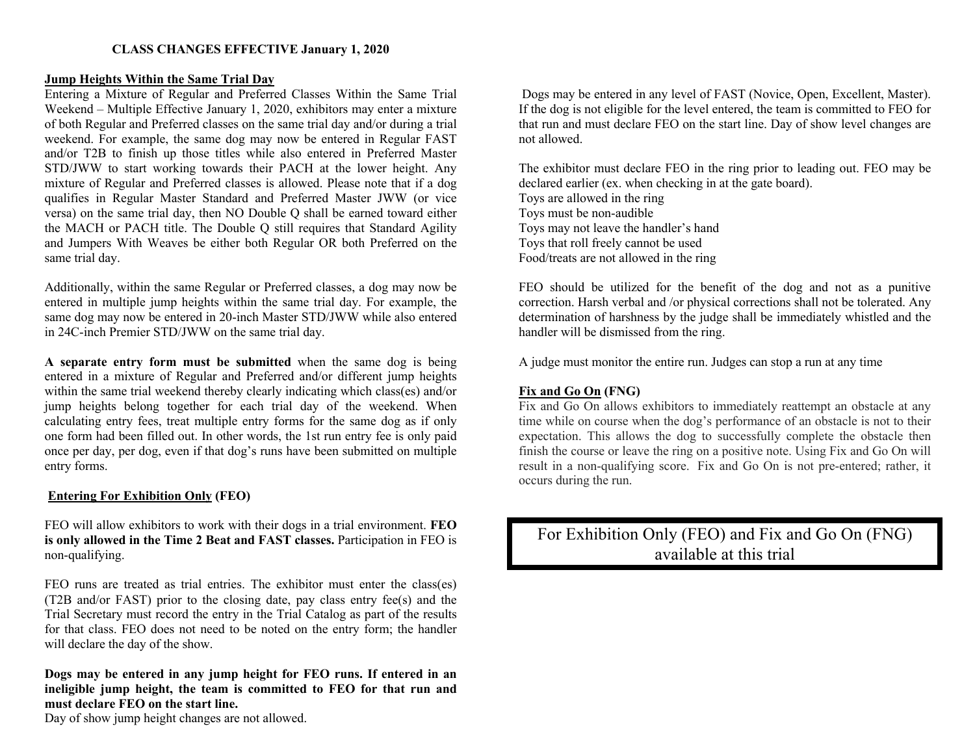## **Jump Heights Within the Same Trial Day**

Entering a Mixture of Regular and Preferred Classes Within the Same Trial Weekend – Multiple Effective January 1, 2020, exhibitors may enter a mixture of both Regular and Preferred classes on the same trial day and/or during a trial weekend. For example, the same dog may now be entered in Regular FAST and/or T2B to finish up those titles while also entered in Preferred Master STD/JWW to start working towards their PACH at the lower height. Any mixture of Regular and Preferred classes is allowed. Please note that if a dog qualifies in Regular Master Standard and Preferred Master JWW (or vice versa) on the same trial day, then NO Double Q shall be earned toward either the MACH or PACH title. The Double Q still requires that Standard Agility and Jumpers With Weaves be either both Regular OR both Preferred on the same trial day.

Additionally, within the same Regular or Preferred classes, a dog may now be entered in multiple jump heights within the same trial day. For example, the same dog may now be entered in 20-inch Master STD/JWW while also entered in 24C-inch Premier STD/JWW on the same trial day.

**A separate entry form must be submitted** when the same dog is being entered in a mixture of Regular and Preferred and/or different jump heights within the same trial weekend thereby clearly indicating which class(es) and/or jump heights belong together for each trial day of the weekend. When calculating entry fees, treat multiple entry forms for the same dog as if only one form had been filled out. In other words, the 1st run entry fee is only paid once per day, per dog, even if that dog's runs have been submitted on multiple entry forms.

## **Entering For Exhibition Only (FEO)**

FEO will allow exhibitors to work with their dogs in a trial environment. **FEO is only allowed in the Time 2 Beat and FAST classes.** Participation in FEO is non-qualifying.

FEO runs are treated as trial entries. The exhibitor must enter the class(es) (T2B and/or FAST) prior to the closing date, pay class entry fee(s) and the Trial Secretary must record the entry in the Trial Catalog as part of the results for that class. FEO does not need to be noted on the entry form; the handler will declare the day of the show.

**Dogs may be entered in any jump height for FEO runs. If entered in an ineligible jump height, the team is committed to FEO for that run and must declare FEO on the start line.**

Day of show jump height changes are not allowed.

Dogs may be entered in any level of FAST (Novice, Open, Excellent, Master). If the dog is not eligible for the level entered, the team is committed to FEO for that run and must declare FEO on the start line. Day of show level changes are not allowed.

The exhibitor must declare FEO in the ring prior to leading out. FEO may be declared earlier (ex. when checking in at the gate board). Toys are allowed in the ring Toys must be non-audible Toys may not leave the handler's hand Toys that roll freely cannot be used Food/treats are not allowed in the ring

FEO should be utilized for the benefit of the dog and not as a punitive correction. Harsh verbal and /or physical corrections shall not be tolerated. Any determination of harshness by the judge shall be immediately whistled and the handler will be dismissed from the ring.

A judge must monitor the entire run. Judges can stop a run at any time

## **Fix and Go On (FNG)**

Fix and Go On allows exhibitors to immediately reattempt an obstacle at any time while on course when the dog's performance of an obstacle is not to their expectation. This allows the dog to successfully complete the obstacle then finish the course or leave the ring on a positive note. Using Fix and Go On will result in a non-qualifying score. Fix and Go On is not pre-entered; rather, it occurs during the run.

For Exhibition Only (FEO) and Fix and Go On (FNG) available at this trial